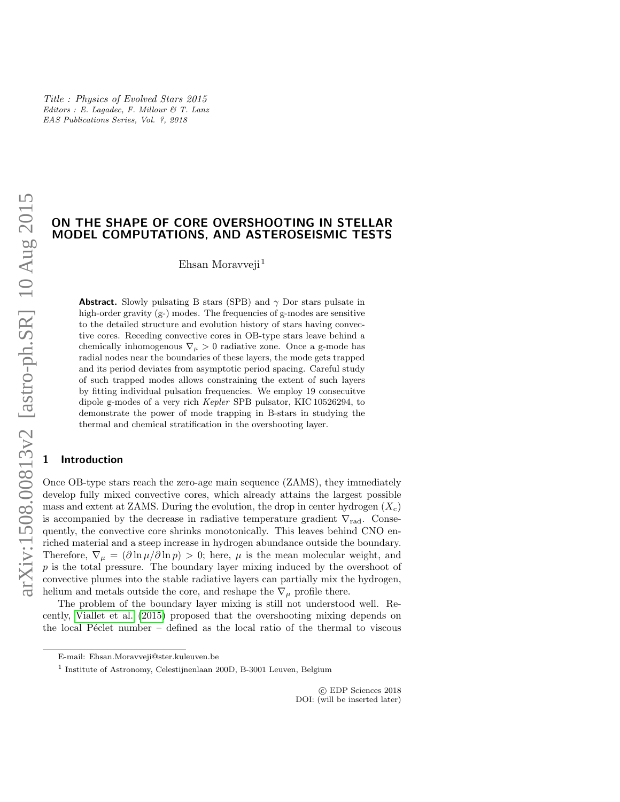# ON THE SHAPE OF CORE OVERSHOOTING IN STELLAR MODEL COMPUTATIONS, AND ASTEROSEISMIC TESTS

Ehsan Moravveji<sup>1</sup>

**Abstract.** Slowly pulsating B stars (SPB) and  $\gamma$  Dor stars pulsate in high-order gravity  $(g-)$  modes. The frequencies of g-modes are sensitive to the detailed structure and evolution history of stars having convective cores. Receding convective cores in OB-type stars leave behind a chemically inhomogenous  $\nabla_{\mu} > 0$  radiative zone. Once a g-mode has radial nodes near the boundaries of these layers, the mode gets trapped and its period deviates from asymptotic period spacing. Careful study of such trapped modes allows constraining the extent of such layers by fitting individual pulsation frequencies. We employ 19 consecuitve dipole g-modes of a very rich Kepler SPB pulsator, KIC 10526294, to demonstrate the power of mode trapping in B-stars in studying the thermal and chemical stratification in the overshooting layer.

## **Introduction**

Once OB-type stars reach the zero-age main sequence (ZAMS), they immediately develop fully mixed convective cores, which already attains the largest possible mass and extent at ZAMS. During the evolution, the drop in center hydrogen  $(X_c)$ is accompanied by the decrease in radiative temperature gradient  $\nabla_{rad}$ . Consequently, the convective core shrinks monotonically. This leaves behind CNO enriched material and a steep increase in hydrogen abundance outside the boundary. Therefore,  $\nabla_{\mu} = (\partial \ln \mu / \partial \ln p) > 0$ ; here,  $\mu$  is the mean molecular weight, and p is the total pressure. The boundary layer mixing induced by the overshoot of convective plumes into the stable radiative layers can partially mix the hydrogen, helium and metals outside the core, and reshape the  $\nabla_{\mu}$  profile there.

The problem of the boundary layer mixing is still not understood well. Recently, [Viallet et al.](#page-3-0) [\(2015\)](#page-3-0) proposed that the overshooting mixing depends on the local P $\acute{e}$ clet number – defined as the local ratio of the thermal to viscous

 c EDP Sciences 2018 DOI: (will be inserted later)

E-mail: Ehsan.Moravveji@ster.kuleuven.be

<sup>1</sup> Institute of Astronomy, Celestijnenlaan 200D, B-3001 Leuven, Belgium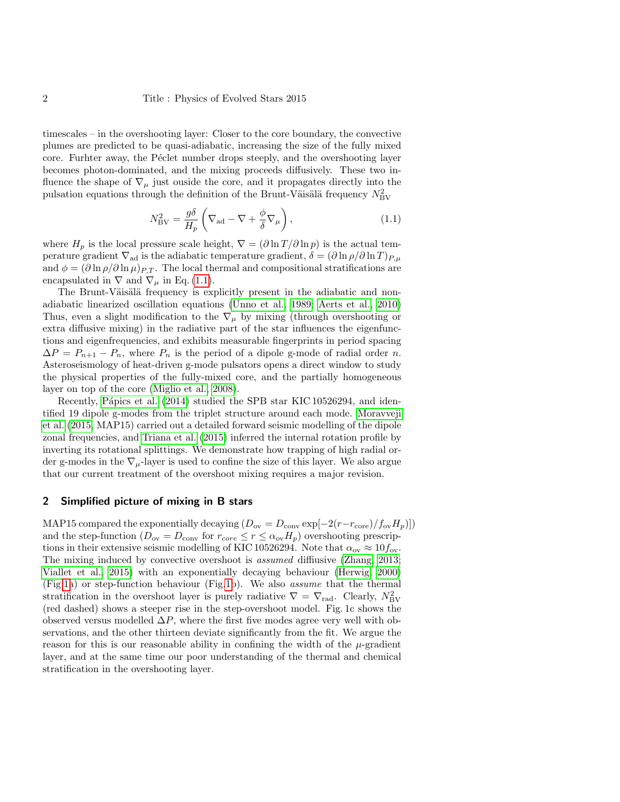timescales – in the overshooting layer: Closer to the core boundary, the convective plumes are predicted to be quasi-adiabatic, increasing the size of the fully mixed core. Furhter away, the Péclet number drops steeply, and the overshooting layer becomes photon-dominated, and the mixing proceeds diffusively. These two influence the shape of  $\nabla_{\mu}$  just ouside the core, and it propagates directly into the pulsation equations through the definition of the Brunt-Väisälä frequency  $N_{\rm BV}^2$ 

<span id="page-1-0"></span>
$$
N_{\rm BV}^2 = \frac{g\delta}{H_p} \left( \nabla_{\rm ad} - \nabla + \frac{\phi}{\delta} \nabla_\mu \right),\tag{1.1}
$$

where  $H_p$  is the local pressure scale height,  $\nabla = (\partial \ln T / \partial \ln p)$  is the actual temperature gradient  $\nabla_{ad}$  is the adiabatic temperature gradient,  $\delta = (\partial \ln \rho / \partial \ln T)_{P,\mu}$ and  $\phi = (\partial \ln \rho / \partial \ln \mu)_{P,T}$ . The local thermal and compositional stratifications are encapsulated in  $\nabla$  and  $\nabla_{\mu}$  in Eq. [\(1.1\)](#page-1-0).

The Brunt-Väisälä frequency is explicitly present in the adiabatic and nonadiabatic linearized oscillation equations [\(Unno et al., 1989;](#page-3-1) [Aerts et al., 2010\)](#page-3-2) Thus, even a slight modification to the  $\nabla_{\mu}$  by mixing (through overshooting or extra diffusive mixing) in the radiative part of the star influences the eigenfunctions and eigenfrequencies, and exhibits measurable fingerprints in period spacing  $\Delta P = P_{n+1} - P_n$ , where  $P_n$  is the period of a dipole g-mode of radial order n. Asteroseismology of heat-driven g-mode pulsators opens a direct window to study the physical properties of the fully-mixed core, and the partially homogeneous layer on top of the core [\(Miglio et al., 2008\)](#page-3-3).

Recently, Pápics et al. [\(2014\)](#page-3-4) studied the SPB star KIC 10526294, and identified 19 dipole g-modes from the triplet structure around each mode. [Moravveji](#page-3-5) [et al.](#page-3-5) [\(2015,](#page-3-5) MAP15) carried out a detailed forward seismic modelling of the dipole zonal frequencies, and [Triana et al.](#page-3-6) [\(2015\)](#page-3-6) inferred the internal rotation profile by inverting its rotational splittings. We demonstrate how trapping of high radial order g-modes in the  $\nabla_{\mu}$ -layer is used to confine the size of this layer. We also argue that our current treatment of the overshoot mixing requires a major revision.

#### 2 Simplified picture of mixing in B stars

MAP15 compared the exponentially decaying  $(D_{ov} = D_{conv} \exp[-2(r-r_{core})/f_{ov}H_p)])$ and the step-function  $(D_{ov} = D_{conv}$  for  $r_{core} \leq r \leq \alpha_{ov} H_p)$  overshooting prescriptions in their extensive seismic modelling of KIC 10526294. Note that  $\alpha_{ov} \approx 10 f_{ov}$ . The mixing induced by convective overshoot is assumed diffiusive [\(Zhang, 2013;](#page-3-7) [Viallet et al., 2015\)](#page-3-0) with an exponentially decaying behaviour [\(Herwig, 2000\)](#page-3-8) (Fig[.1a](#page-2-0)) or step-function behaviour (Fig[.1b](#page-2-0)). We also assume that the thermal stratification in the overshoot layer is purely radiative  $\nabla = \nabla_{\text{rad}}$ . Clearly,  $N_{\text{BV}}^2$ (red dashed) shows a steeper rise in the step-overshoot model. Fig. 1c shows the observed versus modelled  $\Delta P$ , where the first five modes agree very well with observations, and the other thirteen deviate significantly from the fit. We argue the reason for this is our reasonable ability in confining the width of the  $\mu$ -gradient layer, and at the same time our poor understanding of the thermal and chemical stratification in the overshooting layer.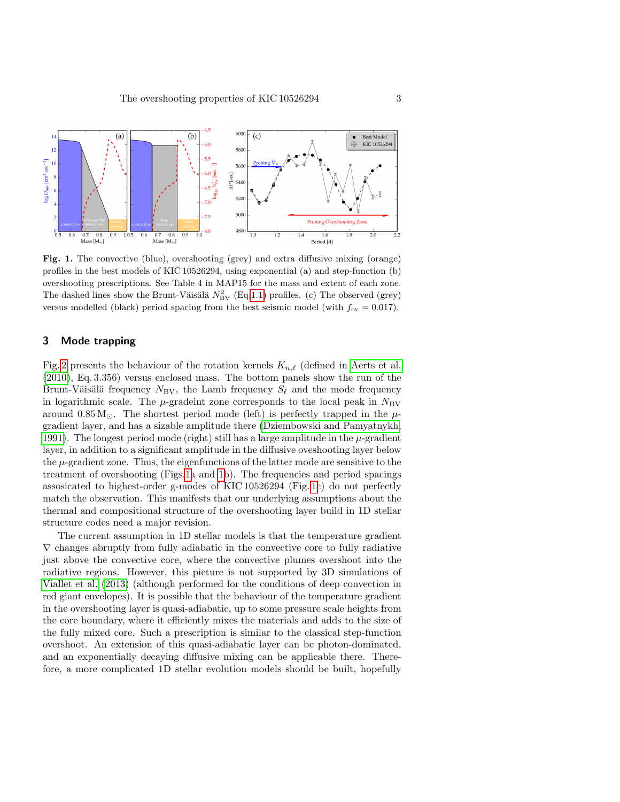

<span id="page-2-0"></span>Fig. 1. The convective (blue), overshooting (grey) and extra diffusive mixing (orange) profiles in the best models of KIC 10526294, using exponential (a) and step-function (b) overshooting prescriptions. See Table 4 in MAP15 for the mass and extent of each zone. The dashed lines show the Brunt-Väisälä  $N_{\text{BV}}^2$  (Eq[.1.1\)](#page-1-0) profiles. (c) The observed (grey) versus modelled (black) period spacing from the best seismic model (with  $f_{\text{ov}} = 0.017$ ).

### 3 Mode trapping

Fig. [2](#page-3-9) presents the behaviour of the rotation kernels  $K_{n,\ell}$  (defined in [Aerts et al.](#page-3-2) [\(2010\)](#page-3-2), Eq. 3.356) versus enclosed mass. The bottom panels show the run of the Brunt-Väisälä frequency  $N_{\rm BV}$ , the Lamb frequency  $S_\ell$  and the mode frequency in logarithmic scale. The  $\mu$ -gradeint zone corresponds to the local peak in  $N_{\text{BV}}$ around  $0.85 M_{\odot}$ . The shortest period mode (left) is perfectly trapped in the  $\mu$ gradient layer, and has a sizable amplitude there [\(Dziembowski and Pamyatnykh,](#page-3-10) [1991\)](#page-3-10). The longest period mode (right) still has a large amplitude in the  $\mu$ -gradient layer, in addition to a significant amplitude in the diffusive oveshooting layer below the  $\mu$ -gradient zone. Thus, the eigenfunctions of the latter mode are sensitive to the treatment of overshooting (Figs[.1a](#page-2-0) and [1b](#page-2-0)). The frequencies and period spacings assosicated to highest-order g-modes of KIC 10526294 (Fig. [1c](#page-2-0)) do not perfectly match the observation. This manifests that our underlying assumptions about the thermal and compositional structure of the overshooting layer build in 1D stellar structure codes need a major revision.

The current assumption in 1D stellar models is that the temperature gradient  $\nabla$  changes abruptly from fully adiabatic in the convective core to fully radiative just above the convective core, where the convective plumes overshoot into the radiative regions. However, this picture is not supported by 3D simulations of [Viallet et al.](#page-3-11) [\(2013\)](#page-3-11) (although performed for the conditions of deep convection in red giant envelopes). It is possible that the behaviour of the temperature gradient in the overshooting layer is quasi-adiabatic, up to some pressure scale heights from the core boundary, where it efficiently mixes the materials and adds to the size of the fully mixed core. Such a prescription is similar to the classical step-function overshoot. An extension of this quasi-adiabatic layer can be photon-dominated, and an exponentially decaying diffusive mixing can be applicable there. Therefore, a more complicated 1D stellar evolution models should be built, hopefully